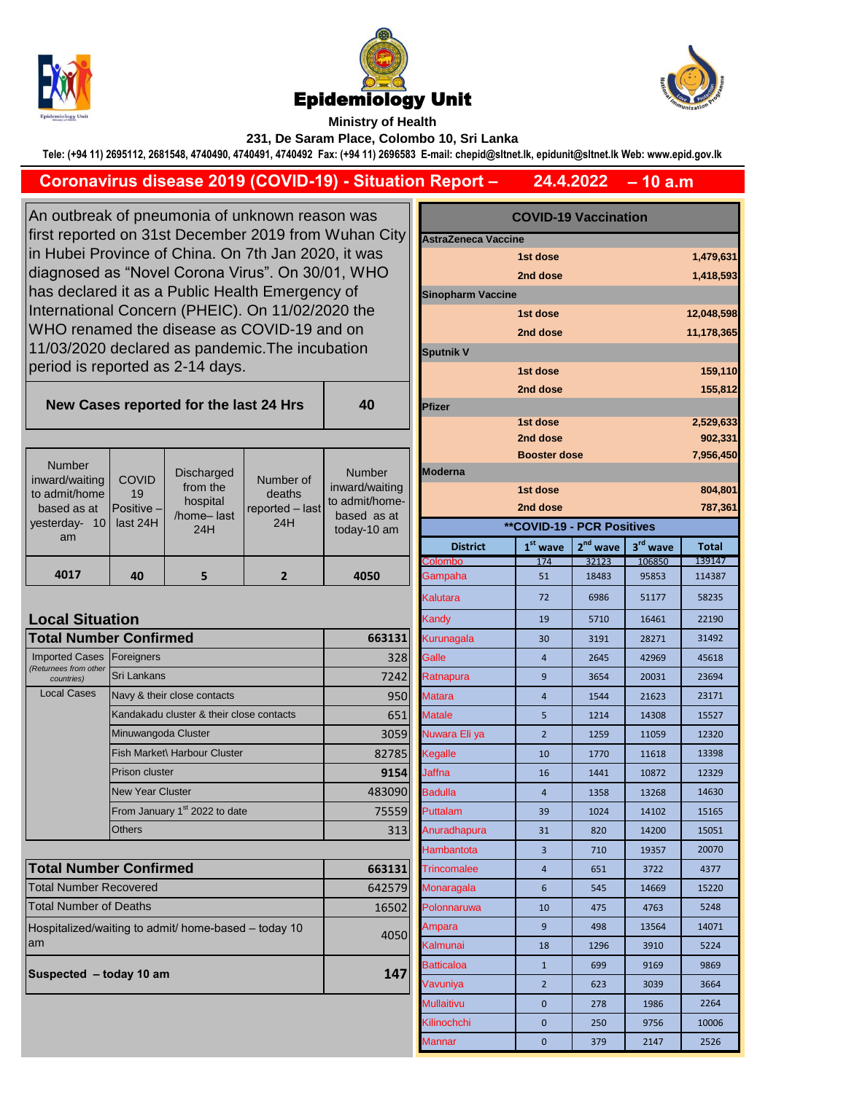





## **Ministry of Health 231, De Saram Place, Colombo 10, Sri Lanka**

**Tele: (+94 11) 2695112, 2681548, 4740490, 4740491, 4740492 Fax: (+94 11) 2696583 E-mail: chepid@sltnet.lk, epidunit@sltnet.lk Web: www.epid.gov.lk**

## **– 10 a.m 24.4.2022 Coronavirus disease 2019 (COVID-19) - Situation Report –**

**40**

An outbreak of pneumonia of unknown reason was first reported on 31st December 2019 from Wuhan City in Hubei Province of China. On 7th Jan 2020, it was diagnosed as "Novel Corona Virus". On 30/01, WHO has declared it as a Public Health Emergency of International Concern (PHEIC). On 11/02/2020 the WHO renamed the disease as COVID-19 and on 11/03/2020 declared as pandemic.The incubation period is reported as 2-14 days.

**New Cases reported for the last 24 Hrs** 

|                                                               |                                     |                                           |                                  |                                                                |  |                                   | <b>Booster dose</b> |            |          | 7,956,4      |
|---------------------------------------------------------------|-------------------------------------|-------------------------------------------|----------------------------------|----------------------------------------------------------------|--|-----------------------------------|---------------------|------------|----------|--------------|
| <b>Number</b><br>inward/waiting                               | <b>COVID</b>                        | <b>Discharged</b>                         | Number of                        | <b>Number</b>                                                  |  | <b>IModerna</b>                   |                     |            |          |              |
| to admit/home<br>based as at<br>vesterday-<br>10 <sup>1</sup> | 19<br><b>Positive</b> –<br>last 24H | from the<br>hospital<br>/home-last<br>24H | deaths<br>reported - last<br>24H | inward/waiting<br>to admit/home-<br>based as at<br>today-10 am |  |                                   | 1st dose            |            |          | 804,8        |
|                                                               |                                     |                                           |                                  |                                                                |  |                                   | 2nd dose            |            |          | 787,3        |
|                                                               |                                     |                                           |                                  |                                                                |  | <b>**COVID-19 - PCR Positives</b> |                     |            |          |              |
| am                                                            |                                     |                                           |                                  |                                                                |  | <b>District</b>                   | $1st$ wave          | $2nd$ wave | 3rd wave | <b>Total</b> |
|                                                               |                                     |                                           |                                  |                                                                |  | <b>Colombo</b>                    | 174                 | 32123      | 106850   | 139147       |
| 4017                                                          | 40                                  |                                           |                                  | 4050                                                           |  | Gampaha                           | 51                  | 18483      | 95853    | 114387       |
|                                                               |                                     |                                           |                                  |                                                                |  |                                   |                     |            |          |              |

## **Local Situation**

| <b>Total Number Confirmed</b>       | 663131                                    |        |
|-------------------------------------|-------------------------------------------|--------|
| <b>Imported Cases</b>               | Foreigners                                | 328    |
| (Returnees from other<br>countries) | Sri Lankans                               | 7242   |
| <b>Local Cases</b>                  | Navy & their close contacts               | 950    |
|                                     | Kandakadu cluster & their close contacts  | 651    |
|                                     | Minuwangoda Cluster                       | 3059   |
|                                     | Fish Market\ Harbour Cluster              | 82785  |
|                                     | <b>Prison cluster</b>                     | 9154   |
|                                     | <b>New Year Cluster</b>                   | 483090 |
|                                     | From January 1 <sup>st</sup> 2022 to date | 75559  |
|                                     | <b>Others</b>                             | 313    |

| <b>Total Number Confirmed</b>                               | 663131 |
|-------------------------------------------------------------|--------|
| <b>Total Number Recovered</b>                               | 642579 |
| <b>Total Number of Deaths</b>                               | 16502  |
| Hospitalized/waiting to admit/ home-based – today 10<br>lam | 4050   |
| Suspected - today 10 am                                     | 147    |

| <b>COVID-19 Vaccination</b><br>n City |                                                       |                                                                                                                 |                                                      |                                                                     |  |
|---------------------------------------|-------------------------------------------------------|-----------------------------------------------------------------------------------------------------------------|------------------------------------------------------|---------------------------------------------------------------------|--|
|                                       |                                                       |                                                                                                                 |                                                      |                                                                     |  |
|                                       | 1st dose                                              |                                                                                                                 |                                                      | 1,479,631                                                           |  |
|                                       | 2nd dose                                              |                                                                                                                 |                                                      | 1,418,593                                                           |  |
|                                       |                                                       |                                                                                                                 |                                                      |                                                                     |  |
|                                       | 1st dose                                              |                                                                                                                 |                                                      | 12,048,598                                                          |  |
|                                       | 2nd dose                                              |                                                                                                                 |                                                      | 11,178,365                                                          |  |
| <b>Sputnik V</b>                      |                                                       |                                                                                                                 |                                                      |                                                                     |  |
|                                       | 1st dose                                              |                                                                                                                 |                                                      | 159,110                                                             |  |
|                                       | 2nd dose                                              |                                                                                                                 |                                                      | 155,812                                                             |  |
| <b>Pfizer</b>                         |                                                       |                                                                                                                 |                                                      |                                                                     |  |
|                                       | 1st dose                                              |                                                                                                                 |                                                      | 2,529,633                                                           |  |
|                                       |                                                       |                                                                                                                 |                                                      | 902,331                                                             |  |
|                                       |                                                       |                                                                                                                 |                                                      | 7,956,450                                                           |  |
|                                       |                                                       |                                                                                                                 |                                                      |                                                                     |  |
|                                       |                                                       |                                                                                                                 |                                                      | 804,801<br>787,361                                                  |  |
|                                       |                                                       |                                                                                                                 |                                                      |                                                                     |  |
|                                       |                                                       |                                                                                                                 |                                                      |                                                                     |  |
|                                       |                                                       |                                                                                                                 |                                                      | <b>Total</b><br>139147                                              |  |
| Gampaha                               | 51                                                    | 18483                                                                                                           | 95853                                                | 114387                                                              |  |
| Kalutara                              | 72                                                    | 6986                                                                                                            | 51177                                                | 58235                                                               |  |
|                                       | 19                                                    | 5710                                                                                                            | 16461                                                | 22190                                                               |  |
| Kurunagala                            | 30                                                    | 3191                                                                                                            | 28271                                                | 31492                                                               |  |
| Galle                                 | $\overline{4}$                                        | 2645                                                                                                            | 42969                                                | 45618                                                               |  |
| Ratnapura                             | 9                                                     | 3654                                                                                                            | 20031                                                | 23694                                                               |  |
| <b>Matara</b>                         | $\overline{4}$                                        | 1544                                                                                                            | 21623                                                | 23171                                                               |  |
| <b>Matale</b>                         | 5                                                     | 1214                                                                                                            | 14308                                                | 15527                                                               |  |
| Nuwara Eli ya                         | $\overline{2}$                                        | 1259                                                                                                            | 11059                                                | 12320                                                               |  |
| Kegalle                               | 10                                                    | 1770                                                                                                            | 11618                                                | 13398                                                               |  |
| Jaffna                                | 16                                                    | 1441                                                                                                            | 10872                                                | 12329                                                               |  |
| <b>Badulla</b>                        | $\overline{4}$                                        | 1358                                                                                                            | 13268                                                | 14630                                                               |  |
| Puttalam                              | 39                                                    | 1024                                                                                                            | 14102                                                | 15165                                                               |  |
| Anuradhapura                          | 31                                                    | 820                                                                                                             | 14200                                                | 15051                                                               |  |
| Hambantota                            | 3                                                     | 710                                                                                                             | 19357                                                | 20070                                                               |  |
| Trincomalee                           | $\overline{4}$                                        | 651                                                                                                             | 3722                                                 | 4377                                                                |  |
| Monaragala                            | 6                                                     | 545                                                                                                             | 14669                                                | 15220                                                               |  |
| Polonnaruwa                           | 10                                                    | 475                                                                                                             | 4763                                                 | 5248                                                                |  |
| Ampara                                | 9                                                     | 498                                                                                                             | 13564                                                | 14071                                                               |  |
| Kalmunai                              | 18                                                    | 1296                                                                                                            | 3910                                                 | 5224                                                                |  |
| Batticaloa                            | $\mathbf{1}$                                          | 699                                                                                                             | 9169                                                 | 9869                                                                |  |
| Vavuniya                              | $\overline{2}$                                        | 623                                                                                                             | 3039                                                 | 3664                                                                |  |
| Mullaitivu                            | 0                                                     | 278                                                                                                             | 1986                                                 | 2264                                                                |  |
| Kilinochchi                           | 0                                                     | 250                                                                                                             | 9756                                                 | 10006                                                               |  |
| <b>Mannar</b>                         | 0                                                     | 379                                                                                                             | 2147                                                 | 2526                                                                |  |
|                                       | <b>Moderna</b><br><b>District</b><br>Colombo<br>Kandy | <b>AstraZeneca Vaccine</b><br><b>Sinopharm Vaccine</b><br>2nd dose<br>1st dose<br>2nd dose<br>$1st$ wave<br>174 | <b>Booster dose</b><br>2 <sup>nd</sup> wave<br>32123 | <b>**COVID-19 - PCR Positives</b><br>3 <sup>rd</sup> wave<br>106850 |  |